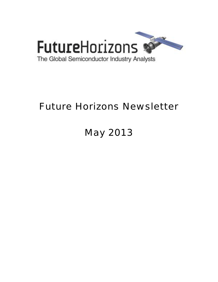

# Future Horizons Newsletter

# May 2013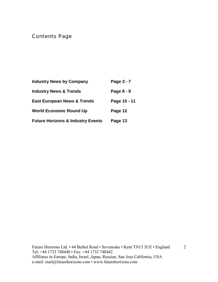# Contents Page

| <b>Industry News by Company</b>              | Page 3 - 7   |
|----------------------------------------------|--------------|
| <b>Industry News &amp; Trends</b>            | Page 8 - 9   |
| <b>East European News &amp; Trends</b>       | Page 10 - 11 |
| <b>World Economic Round Up</b>               | Page 12      |
| <b>Future Horizons &amp; Industry Events</b> | Page 13      |

2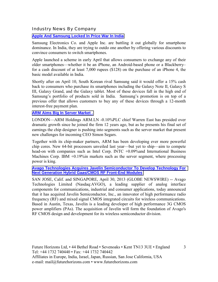### Industry News By Company

# **[Apple And Samsung Locked In Price War In India](http://blogs.wsj.com/digits/2013/04/16/apple-and-samsung-locked-in-price-war-in-india/?mod=djemTECH_h)**

Samsung Electronics Co. and Apple Inc. are battling it out globally for smartphone dominance. In India, they are trying to outdo one another by offering various discounts to convince consumers to switch smartphones.

Apple launched a scheme in early April that allows consumers to exchange any of their older smartphones—whether it be an iPhone, an Android-based phone or a Blackberryfor a cash discount of at least 7,000 rupees (\$128) on the purchase of an iPhone 4, the basic model available in India.

Shortly after on April 10, South Korean rival Samsung said it would offer a 15% cash back to consumers who purchase its smartphones including the Galaxy Note II, Galaxy S III, Galaxy Grand, and the Galaxy tablet. Most of these devices fall in the high end of Samsung's portfolio of products sold in India. Samsung's promotion is on top of a previous offer that allows customers to buy any of these devices through a 12-month interest-free payment plan.

#### **[ARM Aims Big In Server Market .](http://online.wsj.com/article/SB10001424127887324874204578440361266868802.html?mod=djemWorldAtGlance_h)**

LONDON—ARM Holdings ARM.LN -0.10%PLC chief Warren East has presided over dramatic growth since he joined the firm 12 years ago, but as he presents his final set of earnings the chip designer is pushing into segments such as the server market that present new challenges for incoming CEO Simon Segars.

Together with its chip-maker partners, ARM has been developing ever more powerful chip cores. New 64-bit processors unveiled last year—but yet to ship—aim to compete head-on with companies such as Intel Corp. INTC +0.09% and International Business Machines Corp. IBM +0.19%in markets such as the server segment, where processing power is king.

#### **[Avago Technologies Acquires Javelin Semiconductor To Develop Technology For](http://globenewswire.com/news-release/2013/04/30/542924/10030579/en/Avago-Technologies-Acquires-Javelin-Semiconductor-to-Develop-Technology-for-Next-Generation-Hybrid-GaAs-CMOS-RF-Front-End-Modules.html)  [Next Generation Hybrid Gaas/CMOS RF Front-End Modules](http://globenewswire.com/news-release/2013/04/30/542924/10030579/en/Avago-Technologies-Acquires-Javelin-Semiconductor-to-Develop-Technology-for-Next-Generation-Hybrid-GaAs-CMOS-RF-Front-End-Modules.html)**

SAN JOSE, Calif. and SINGAPORE, April 30, 2013 (GLOBE NEWSWIRE) -- Avago Technologies Limited (Nasdaq:AVGO), a leading supplier of analog interface components for communications, industrial and consumer applications, today announced that it has acquired Javelin Semiconductor, Inc., an innovator of high performance radio frequency (RF) and mixed signal CMOS integrated circuits for wireless communications. Based in Austin, Texas, Javelin is a leading developer of high performance 3G CMOS power amplifiers (PAs). The acquisition of Javelin will form the foundation of Avago's RF CMOS design and development for its wireless semiconductor division.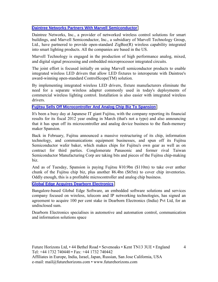# **[Daintree Networks Partners With Marvell Semiconductor](http://www.electroiq.com/semiconductors/2013/04/17/daintree-networks-partners-with-marvell-semiconductor.html)**

Daintree Networks, Inc., a provider of networked wireless control solutions for smart buildings, and Marvell Semiconductor, Inc., a subsidiary of Marvell Technology Group, Ltd., have partnered to provide open-standard ZigBee(R) wireless capability integrated into smart lighting products. All the companies are based in the US.

Marvell Technology is engaged in the production of high performance analog, mixed, and digital signal processing and embedded microprocessor integrated circuits.

The joint effort is focused initially on using Marvell semiconductor products to enable integrated wireless LED drivers that allow LED fixtures to interoperate with Daintree's award-winning open-standard ControlScope(TM) solution.

By implementing integrated wireless LED drivers, fixture manufacturers eliminate the need for a separate wireless adapter commonly used in today's deployments of commercial wireless lighting control. Installation is also easier with integrated wireless drivers.

#### **[Fujitsu Sells Off Microcontroller And Analog Chip Biz To Spansion](http://www.theregister.co.uk/2013/04/30/fujitsu_f2012_numbers_spansion_sale/)**

It's been a busy day at Japanese IT giant Fujitsu, with the company reporting its financial results for its fiscal 2012 year ending in March (that's not a typo) and also announcing that it has spun off its microcontroller and analog device business to the flash-memory maker Spansion.

Back in February, Fujitsu announced a massive restructuring of its chip, information technology, and communications equipment businesses, and spun off its Fujitsu Semiconductor wafer baker, which makes chips for Fujitsu's own gear as well as on contract for third parties. Conglomerate Panasonic and former rival Taiwan Semiconductor Manufacturing Corp are taking bits and pieces of the Fujitsu chip-making biz.

And as of Tuesday, Spansion is paying Fujitsu ¥10.9bn (\$110m) to take over anther chunk of the Fujitsu chip biz, plus another  $46.4$ bn (\$65m) to cover chip inventories. Oddly enough, this is a profitable microcontroller and analog chip business.

**[Global Edge Acquires Dearborn Electronics](http://www.eetindia.co.in/ART_8800684776_1800001_NT_f5f46b02.HTM?click_from=8800102410,9950114561,2013-05-09,EEIOL,ARTICLE_ALERT)**

Bangalore-based Global Edge Software, an embedded software solutions and services company focused on wireless, telecom and IP networking technologies, has signed an agreement to acquire 100 per cent stake in Dearborn Electronics (India) Pvt Ltd, for an undisclosed sum.

Dearborn Electronics specialises in automotive and automation control, communication and information solutions space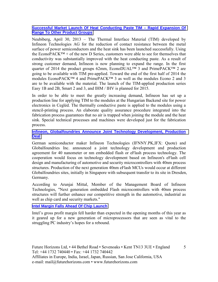# **[Successful Market Launch Of Heat Conducting Paste TIM – Rapid Expansion Of](http://www.infineon.com/cms/en/corporate/press/news/releases/2013/INFIPC201304-040.html)  [Range To Other Product Groups](http://www.infineon.com/cms/en/corporate/press/news/releases/2013/INFIPC201304-040.html)**

Neubiberg, April 30, 2013 – The Thermal Interface Material (TIM) developed by Infineon Technologies AG for the reduction of contact resistance between the metal surface of power semiconductors and the heat sink has been launched successfully. Using the EconoPACK $TM + of$  the new D Series, customers were able to see for themselves that conductivity was substantially improved with the heat conducting paste. As a result of strong customer demand, Infineon is now planning to expand the range. In the first quarter of 2014 the product groups 62mm, EconoDUAL<sup>TM</sup> 3 and PrimePACK<sup>TM</sup> 2 are going to be available with TIM pre-applied. Toward the end of the first half of 2014 the modules EconoPACK<sup>TM</sup> 4 and PrimePACK<sup>TM</sup> 3 as well as the modules Econo 2 and 3 are to be available with the material. The launch of the TIM-applied production series Easy 1B and 2B, Smart 2 and 3, and IHM / IHV is planned for 2015.

In order to be able to meet the greatly increasing demand, Infineon has set up a production line for applying TIM to the modules at the Hungarian Backend site for power electronics in Cegléd. The thermally conductive paste is applied to the modules using a stencil-printing process. An elaborate quality assurance procedure integrated into the fabrication process guarantees that no air is trapped when joining the module and the heat sink. Special technical processes and machines were developed just for the fabrication process.

#### **[Infineon, Globalfoundries Announce Joint Technology Development, Production](http://www.rttnews.com/2104028/infineon-globalfoundries-announce-joint-technology-development-production-deal.aspx?type=corp)  [Deal](http://www.rttnews.com/2104028/infineon-globalfoundries-announce-joint-technology-development-production-deal.aspx?type=corp)**

German semiconductor maker Infineon Technologies (IFNNY.PK,IFX: Quote) and Globalfoundries Inc. announced a joint technology development and production agreement for 40 nanometer or nm embedded flash or eFlash process technology. The cooperation would focus on technology development based on Infineon's eFlash cell design and manufacturing of automotive and security microcontrollers with 40nm process structures. Production of the next generation 40nm eFlash MCUs would occur at different Globalfoundries sites, initially in Singapore with subsequent transfer to its site in Dresden, Germany.

According to Arunjai Mittal, Member of the Management Board of Infineon Technologies, "Next generation embedded Flash microcontrollers with 40nm process structures will further enhance our competitive strength in the automotive, industrial as well as chip card and security markets."

# **[Intel Margin Falls Ahead Of Chip Launch](http://www.ft.com/cms/s/0/ae8deaa8-a6cd-11e2-885b-00144feabdc0.html#axzz2QiKyJCds)**

Intel's gross profit margin fell harder than expected in the opening months of this year as it geared up for a new generation of microprocessors that are seen as vital to the struggling PC industry's hopes for a rebound.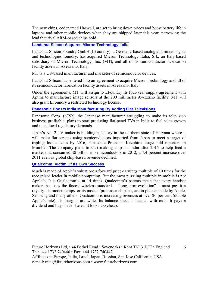The new chips, codenamed Haswell, are set to bring down prices and boost battery life in laptops and other mobile devices when they are shipped later this year, narrowing the lead that rival ARM-based chips hold.

**[Landshut Silicon Acquires Micron Technology Italia](http://www.electroiq.com/semiconductors/2013/05/07/landshut-silicon-acquires-micron-technology-italia.html)**

Landshut Silicon Foundry GmbH (LFoundry), a Germany-based analog and mixed signal and technologies foundry, has acquired Micron Technology Italia, Srl., an Italy-based subsidiary of Micron Technology, Inc. (MT), and all of its semiconductor fabrication facility assets in Avezzano, Italy.

MT is a US-based manufacturer and marketer of semiconductor devices.

Landshut Silicon has entered into an agreement to acquire Micron Technology and all of its semiconductor fabrication facility assets in Avezzano, Italy.

Under the agreements, MT will assign to LFoundry its four-year supply agreement with Aptina to manufacture image sensors at the 200 millimeter Avezzano facility. MT will also grant LFoundry a restricted technology license.

# **[Panasonic Boosts India Manufacturing By Adding Flat Televisions](http://www.businessweek.com/news/2013-04-30/panasonic-boosts-india-manufacturing-by-adding-flat-televisions)**

Panasonic Corp. (6752), the Japanese manufacturer struggling to make its television business profitable, plans to start producing flat-panel TVs in India to fuel sales growth and meet local regulatory demands.

Japan's No. 2 TV maker is building a factory in the northern state of Haryana where it will make flat-screens using semiconductors imported from Japan to meet a target of tripling Indian sales by 2016, Panasonic President Kazuhiro Tsuga told reporters in Mumbai. The company plans to start making chips in India after 2015 to help feed a market that consumed \$8 billion in semiconductors in 2012, a 7.4 percent increase over 2011 even as global chip-based revenue declined.

**[Qualcomm: Victim Of Its Own Success](http://www.ft.com/cms/s/3/f5e1b8d8-adcd-11e2-a2c7-00144feabdc0.html#axzz2RpmsfZQm)**

Much is made of Apple's valuation: a forward price-earnings multiple of 10 times for the recognised leader in mobile computing. But the most puzzling multiple in mobile is not Apple's. It is Qualcomm's, at 14 times. Qualcomm's patents mean that every handset maker that uses the fastest wireless standard  $-$  "long-term evolution"  $-$  must pay it a royalty. Its modem chips, or its modem/processor chipsets, are in phones made by Apple, Samsung and many others. Qualcomm is increasing revenues at over 20 per cent (double Apple's rate). Its margins are wide. Its balance sheet is heaped with cash. It pays a dividend and buys back shares. It looks too cheap.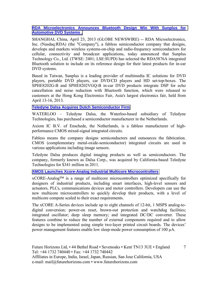#### **[RDA Microelectronics Announces Bluetooth Design Win With Sunplus for](http://online.wsj.com/article/PR-CO-20130423-906945.html?mod=googlenews_wsj)  [Automotive DVD Systems .](http://online.wsj.com/article/PR-CO-20130423-906945.html?mod=googlenews_wsj)**

SHANGHAI, China, April 23, 2013 (GLOBE NEWSWIRE) -- RDA Microelectronics, Inc. (Nasdaq:RDA) (the "Company"), a fabless semiconductor company that designs, develops and markets wireless systems-on-chip and radio-frequency semiconductors for cellular, connectivity and broadcast applications, today announced that Sunplus Technology Co., Ltd. (TWSE: 2401; LSE:SUPD) has selected the RDA5876A integrated Bluetooth solution to include on its reference design for their latest products for in-car DVD systems.

Based in Taiwan, Sunplus is a leading provider of multimedia IC solutions for DVD players, portable DVD players, car DVD/CD players and HD set-top-boxes. The SPHE8202G-B and SPHE8202VGQ-B in-car DVD products integrate DSP for echo cancellation and noise reduction with Bluetooth function, which were released to customers at the Hong Kong Electronics Fair, Asia's largest electronics fair, held from April 13-16, 2013.

#### **[Teledyne Dalsa Acquires Dutch Semiconductor Firm](http://www.therecord.com/news/business/article/933206--teledyne-dalsa-acquires-dutch-semiconductor-firm)**

WATERLOO – Teledyne Dalsa, the Waterloo-based subsidiary of Teledyne Technologies, has purchased a semiconductor manufacturer in the Netherlands.

Axiom IC B.V. of Enschede, the Netherlands, is a fabless manufacturer of highperformance CMOS mixed-signal integrated circuits.

Fabless means the company designs semiconductors and outsources the fabrication. CMOS (complementary metal-oxide-semiconductor) integrated circuits are used in various applications including image sensors.

Teledyne Dalsa produces digital imaging products as well as semiconductors. The company, formerly known as Dalsa Corp., was acquired by California-based Teledyne Technologies for \$341 million in 2011.

# **[XMOS Launches Xcore-Analog Industrial Multicore Microcontrollers](http://www.xmos.com/xcoreanalog)**

 $xCORE$ -Analog<sup>TM</sup> is a range of multicore microcontrollers optimized specifically for designers of industrial products, including smart interfaces, high-level sensors and actuators, PLCs, communications devices and motor controllers. Developers can use the new multicore microcontrollers to quickly develop their products, with a level of multicore compute scaled to their exact requirements.

The xCORE A-Series devices include up to eight channels of 12-bit, 1 MSPS analog-todigital conversion; power-on reset, brown-out protection and watchdog facilities; integrated oscillator; deep sleep memory; and integrated DC/DC converter. These features combine to reduce the number of external components required and to allow designs to be implemented using simple two-layer printed circuit boards. The devices' power management features enable low sleep-mode power consumption of 100 µA.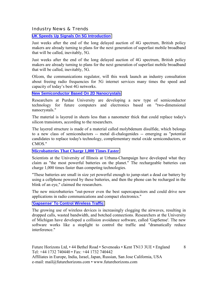Industry News & Trends

#### **[UK Speeds Up Signals On 5G Introduction](http://www.ft.com/cms/s/0/32b6ac98-a5e3-11e2-9b77-00144feabdc0.html#axzz2QW7SAHMk)**

Just weeks after the end of the long delayed auction of 4G spectrum, British policy makers are already turning to plans for the next generation of superfast mobile broadband that will be called, inevitably, 5G.

Just weeks after the end of the long delayed auction of 4G spectrum, British policy makers are already turning to plans for the next generation of superfast mobile broadband that will be called, inevitably, 5G.

Ofcom, the communications regulator, will this week launch an industry consultation about freeing radio frequencies for 5G internet services many times the speed and capacity of today's best 4G networks.

#### **[New Semiconductor Based On 2D Nanocrystals](http://www.eetindia.co.in/ART_8800683973_1800001_NT_d21dabad.HTM?click_from=8800102160,9950114561,2013-04-17,EEIOL,ARTICLE_ALERT)**

Researchers at Purdue University are developing a new type of semiconductor technology for future computers and electronics based on "two-dimensional nanocrystals."

The material is layered in sheets less than a nanometer thick that could replace today's silicon transistors, according to the researchers.

The layered structure is made of a material called molybdenum disulfide, which belongs to a new class of semiconductors -- metal di-chalogenides -- emerging as "potential candidates to replace today's technology, complementary metal oxide semiconductors, or CMOS."

#### **[Microbatteries That Charge 1,000 Times Faster](http://www.eetindia.co.in/ART_8800684019_1800008_NT_b6c32bf6.HTM?click_from=8800102166,9950114561,2013-04-18,EEIOL,ARTICLE_ALERT)**

Scientists at the University of Illinois at Urbana-Champaign have developed what they claim as "the most powerful batteries on the planet." The rechargeable batteries can charge 1,000 times faster than competing technologies.

"These batteries are small in size yet powerful enough to jump-start a dead car battery by using a cellphone powered by these batteries, and then the phone can be recharged in the blink of an eye," claimed the researchers.

The new microbatteries "out-power even the best supercapacitors and could drive new applications in radio communications and compact electronics."

#### **['Gapsense' To Control Wireless Traffic](http://www.eetindia.co.in/ART_8800683918_1800001_NT_65dc6bf6.HTM?click_from=8800102179,9950114561,2013-04-19,EEIOL,ARTICLE_ALERT)**

The growing use of wireless devices is increasingly clogging the airwaves, resulting in dropped calls, wasted bandwidth, and botched connections. Researchers at the University of Michigan have developed a collision avoidance software, called 'GapSense'. The new software works like a stoplight to control the traffic and "dramatically reduce interference."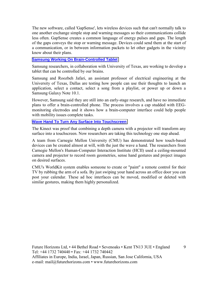The new software, called 'GapSense', lets wireless devices such that can't normally talk to one another exchange simple stop and warning messages so their communications collide less often. GapSense creates a common language of energy pulses and gaps. The length of the gaps conveys the stop or warning message. Devices could send them at the start of a communication, or in between information packets to let other gadgets in the vicinity know about their plans.

#### **[Samsung Working On Brain-Controlled Tablet](http://www.eetindia.co.in/ART_8800684263_1800001_NT_e7a3e1eb.HTM?8800102240&8800684263&click_from=8800102240,9950114561,2013-04-25,EEIOL,ARTICLE_ALERT)**

Samsung researchers, in collaboration with University of Texas, are working to develop a tablet that can be controlled by our brains.

Samsung and Roozbeh Jafari, an assistant professor of electrical engineering at the University of Texas, Dallas are testing how people can use their thoughts to launch an application, select a contact, select a song from a playlist, or power up or down a Samsung Galaxy Note 10.1.

However, Samsung said they are still into an early-stage research, and have no immediate plans to offer a brain-controlled phone. The process involves a cap studded with EEGmonitoring electrodes and it shows how a brain-computer interface could help people with mobility issues complete tasks.

#### **[Wave Hand To Turn Any Surface Into Touchscreen](http://www.eetindia.co.in/ART_8800684440_1800001_NT_f221af04.HTM?click_from=8800102327,9950114561,2013-05-03,EEIOL,ARTICLE_ALERT%22)**

The Kinect was proof that combining a depth camera with a projector will transform any surface into a touchscreen. Now researchers are taking this technology one step ahead.

A team from Carnegie Mellon University (CMU) has demonstrated how touch-based devices can be created almost at will, with the just the wave a hand. The researchers from Carnegie Mellon's Human-Computer Interaction Institute (HCII) used a ceiling-mounted camera and projector to record room geometries, sense hand gestures and project images on desired surfaces.

CMU's WorldKit system enables someone to create or "paint" a remote control for their TV by rubbing the arm of a sofa. By just swiping your hand across an office door you can post your calendar. These ad hoc interfaces can be moved, modified or deleted with similar gestures, making them highly personalized.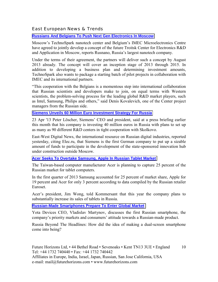# East European News & Trends

## **[Russians And Belgians To Push Next Gen Electronics In Moscow](http://www.marchmontnews.com/Technology-Innovation/Central-regions/19542-Russians-and-Belgians-push-next-gen-electronics-Moscow.html)**

Moscow's TechnoSpark nanotech center and Belgium's IMEC Microelectronics Centre have agreed to jointly develop a concept of the future Troitsk Center for Electronics R&D and Application in Moscow, reports Rusnano, Russia's largest nanotech company.

Under the terms of their agreement, the partners will deliver such a concept by August 2013 already. The concept will cover an inception stage of 2013 through 2015. In addition to developing a business plan and determining investment amounts, TechnoSpark also wants to package a starting batch of pilot projects in collaboration with IMEC and its international partners.

ìThis cooperation with the Belgians is a momentous step into international collaboration that Russian scientists and developers make to join, on equal terms with Western scientists, the problem-solving process for the leading global R&D market players, such as Intel, Samsung, Philips and others," said Denis Kovalevich, one of the Center project managers from the Russian side.

#### **[Siemens Unveils 60 Million Euro Investment Strategy For Russia](http://www.marchmontnews.com/Finance-Business/Central-regions/19538-Siemens-unveils-60-million-euro-investment-strategy-for-Russia.html)**

23 Apr '13 Peter Löscher, Siemens' CEO and president, said at a press briefing earlier this month that his company is investing 40 million euros in Russia with plans to set up as many as 90 different R&D centers in tight cooperation with Skolkovo.

East-West Digital News, the international resource on Russian digital industries, reported yesterday, citing Elec.ru, that Siemens is the first German company to put up a sizable amount of funds to participate in the development of the state-sponsored innovation hub under construction outside Moscow.

#### **[Acer Seeks To Overtake Samsung, Apple In Russian Tablet Market](http://rbth.ru/science_and_tech/2013/05/12/acer_seeks_to_overtake_samsung_apple_in_russian_tablet_marke_25895.html)**

The Taiwan-based computer manufacturer Acer is planning to capture 25 percent of the Russian market for tablet computers.

In the first quarter of 2013 Samsung accounted for 25 percent of market share, Apple for 19 percent and Acer for only 3 percent according to data compiled by the Russian retailer Euroset.

Acer's president, Jim Wong, told Kommersant that this year the company plans to substantially increase its sales of tablets in Russia.

# **[Russian-Made Smartphones Prepare To Enter Global Market](http://rbth.ru/business/2013/05/06/russian-made_smartphones_prepare_to_enter_global_market_25741.html)**

Yota Devices CEO, Vladislav Martynov, discusses the first Russian smartphone, the company's priority markets and consumers' attitude towards a Russian-made product.

Russia Beyond The Headlines: How did the idea of making a dual-screen smartphone come into being?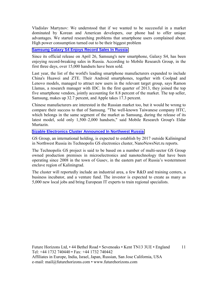Vladislav Martynov: We understood that if we wanted to be successful in a market dominated by Korean and American developers, our phone had to offer unique advantages. We started researching problems that smartphone users complained about. High power consumption turned out to be their biggest problem

## **[Samsung Galaxy S4 Enjoys Record Sales In Russia](http://rbth.ru/business/2013/04/30/samsung_galaxy_s4_enjoys_record_sales_in_russia_25621.html)**

Since its official release on April 26, Samsung's new smartphone, Galaxy S4, has been enjoying record-breaking sales in Russia. According to Mobile Research Group, in the first three days, over 15,000 handsets have been sold.

Last year, the list of the world's leading smartphone manufacturers expanded to include China's Huawei and ZTE. Their Android smartphones, together with Сoolpad and Lenovo models, managed to attract new users in the relevant target group, says Ramon Llamas, a research manager with IDC. In the first quarter of 2013, they joined the top five smartphone vendors, jointly accounting for 8.8 percent of the market. The top seller, Samsung, makes up 32.7 percent, and Apple takes 17.3 percent.

Chinese manufacturers are interested in the Russian market too, but it would be wrong to compare their success to that of Samsung. "The well-known Taiwanese company HTC, which belongs in the same segment of the market as Samsung, during the release of its latest model, sold only 1,500-2,000 handsets," said Mobile Research Group's Eldar Murtazin.

#### **[Sizable Electronics Cluster Announced In Northwest Russia](http://www.marchmontnews.com/Industry-Manufacturing/North-West/19554-Sizable-electronics-cluster-announced-Northwest-Russia.html)**

GS Group, an international holding, is expected to establish by 2017 outside Kaliningrad in Northwest Russia its Technopolis GS electronics cluster, NanoNewsNet.ru reports.

The Technopolis GS project is said to be based on a number of multi-sector GS Group owned production premises in microelectronics and nanotechnology that have been operating since 2008 in the town of Gusev, in the eastern part of Russia's westernmost enclave region of Kaliningrad.

The cluster will reportedly include an industrial area, a few R&D and training centers, a business incubator, and a venture fund. The investor is expected to create as many as 5,000 new local jobs and bring European IT experts to train regional specialists.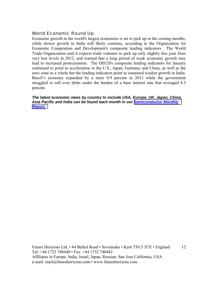# World Economic Round Up

Economic growth in the world's largest economies is set to pick up in the coming months, while slower growth in India will likely continue, according to the Organization for Economic Cooperation and Development's composite leading indicators. The World Trade Organization said it expects trade volumes to pick up only slightly this year from very low levels in 2012, and warned that a long period of weak economic growth may lead to increased protectionism. The OECD's composite leading indicators for January continued to point to acceleration in the U.S., Japan, Germany and China, as well as the euro zone as a whole but the leading indicators point to sustained weaker growth in India. Brazil's economy expanded by a mere 0.9 percent in 2012 while the government struggled to roll over debts under the burden of a base interest rate that averaged 8.5 percent.

#### *The latest economic news by country to include USA, Europe, UK, Japan, China, Asia Pacific and India can be found each month in our [Semiconductor Monthly](http://www.futurehorizons.com/page/18/Global-Semiconductor-Report)  [Report.](http://www.futurehorizons.com/page/18/Global-Semiconductor-Report)*